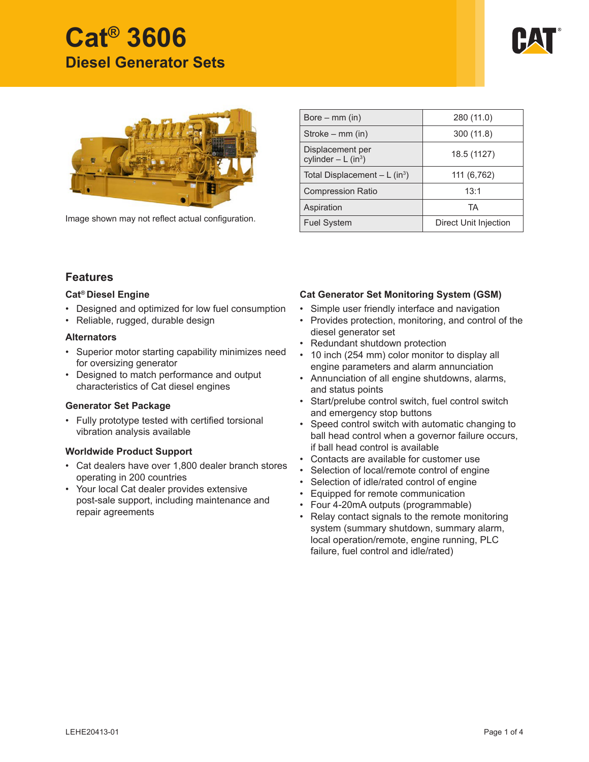# **Cat® 3606 Diesel Generator Sets**





Image shown may not reflect actual configuration.

| Bore $-$ mm (in)                                     | 280 (11.0)            |  |  |
|------------------------------------------------------|-----------------------|--|--|
| Stroke $-$ mm (in)                                   | 300 (11.8)            |  |  |
| Displacement per<br>cylinder $-L$ (in <sup>3</sup> ) | 18.5 (1127)           |  |  |
| Total Displacement $-L$ (in <sup>3</sup> )           | 111 (6,762)           |  |  |
| <b>Compression Ratio</b>                             | 13:1                  |  |  |
| Aspiration                                           | <b>TA</b>             |  |  |
| <b>Fuel System</b>                                   | Direct Unit Injection |  |  |

## **Features**

#### **Cat® Diesel Engine**

- Designed and optimized for low fuel consumption
- Reliable, rugged, durable design

#### **Alternators**

- Superior motor starting capability minimizes need for oversizing generator
- Designed to match performance and output characteristics of Cat diesel engines

### **Generator Set Package**

• Fully prototype tested with certified torsional vibration analysis available

### **Worldwide Product Support**

- Cat dealers have over 1,800 dealer branch stores operating in 200 countries
- Your local Cat dealer provides extensive post-sale support, including maintenance and repair agreements

## **Cat Generator Set Monitoring System (GSM)**

- Simple user friendly interface and navigation
- Provides protection, monitoring, and control of the diesel generator set
- Redundant shutdown protection
- 10 inch (254 mm) color monitor to display all engine parameters and alarm annunciation
- Annunciation of all engine shutdowns, alarms, and status points
- Start/prelube control switch, fuel control switch and emergency stop buttons
- Speed control switch with automatic changing to ball head control when a governor failure occurs, if ball head control is available
- Contacts are available for customer use
- Selection of local/remote control of engine
- Selection of idle/rated control of engine
- Equipped for remote communication
- Four 4-20mA outputs (programmable)
- Relay contact signals to the remote monitoring system (summary shutdown, summary alarm, local operation/remote, engine running, PLC failure, fuel control and idle/rated)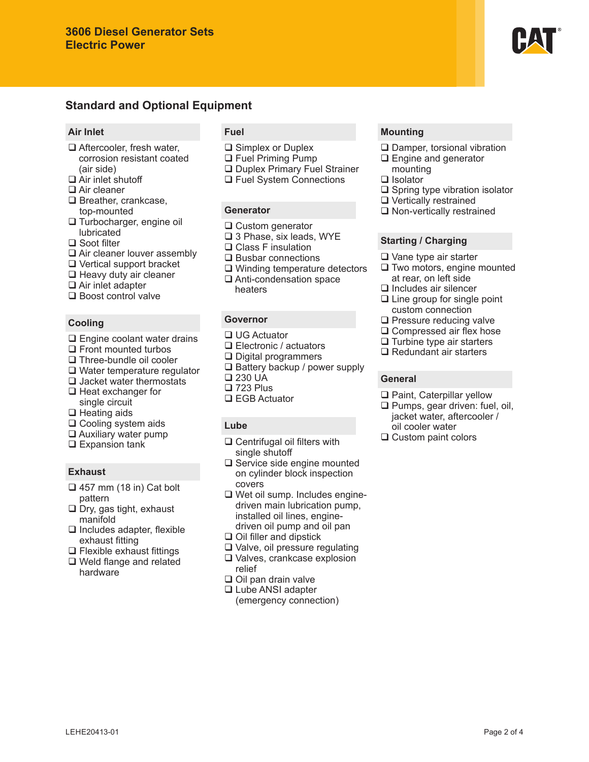## **Standard and Optional Equipment**

#### **Air Inlet**

- □ Aftercooler, fresh water, corrosion resistant coated (air side)
- □ Air inlet shutoff
- □ Air cleaner
- □ Breather, crankcase, top-mounted
- □ Turbocharger, engine oil lubricated
- □ Soot filter
- □ Air cleaner louver assembly
- Vertical support bracket
- $\Box$  Heavy duty air cleaner
- $\Box$  Air inlet adapter
- □ Boost control valve

#### **Cooling**

- □ Engine coolant water drains
- $\Box$  Front mounted turbos
- □ Three-bundle oil cooler
- □ Water temperature regulator
- $\Box$  Jacket water thermostats  $\Box$  Heat exchanger for
- single circuit  $\Box$  Heating aids
- □ Cooling system aids
- $\Box$  Auxiliary water pump
- $\Box$  Expansion tank

### **Exhaust**

- $\Box$  457 mm (18 in) Cat bolt pattern
- $\Box$  Dry, gas tight, exhaust manifold
- $\Box$  Includes adapter, flexible exhaust fitting
- $\Box$  Flexible exhaust fittings
- Weld flange and related hardware

### **Fuel**

- **□** Simplex or Duplex
- □ Fuel Priming Pump
- D Duplex Primary Fuel Strainer
- □ Fuel System Connections

#### **Generator**

- **□** Custom generator
- □ 3 Phase, six leads, WYE
- □ Class F insulation
- $\square$  Busbar connections
- □ Winding temperature detectors
- □ Anti-condensation space heaters

## **Governor**

- □ UG Actuator
- □ Electronic / actuators
- □ Digital programmers
- $\square$  Battery backup / power supply
- □ 230 UA
- □ 723 Plus
- □ EGB Actuator

### **Lube**

- □ Centrifugal oil filters with single shutoff
- □ Service side engine mounted on cylinder block inspection covers
- □ Wet oil sump. Includes enginedriven main lubrication pump, installed oil lines, enginedriven oil pump and oil pan
- $\Box$  Oil filler and dipstick
- Valve, oil pressure regulating Valves, crankcase explosion
	- relief
- $\Box$  Oil pan drain valve
- □ Lube ANSI adapter (emergency connection)

### **Mounting**

- □ Damper, torsional vibration
- □ Engine and generator mounting
- □ Isolator
- $\square$  Spring type vibration isolator
- □ Vertically restrained
- □ Non-vertically restrained

#### **Starting / Charging**

- Vane type air starter
- $\Box$  Two motors, engine mounted at rear, on left side
- $\Box$  Includes air silencer
- $\Box$  Line group for single point custom connection
- $\square$  Pressure reducing valve
- □ Compressed air flex hose
- $\Box$  Turbine type air starters
- $\Box$  Redundant air starters

#### **General**

- □ Paint, Caterpillar yellow
- $\Box$  Pumps, gear driven: fuel, oil, jacket water, aftercooler / oil cooler water
- □ Custom paint colors

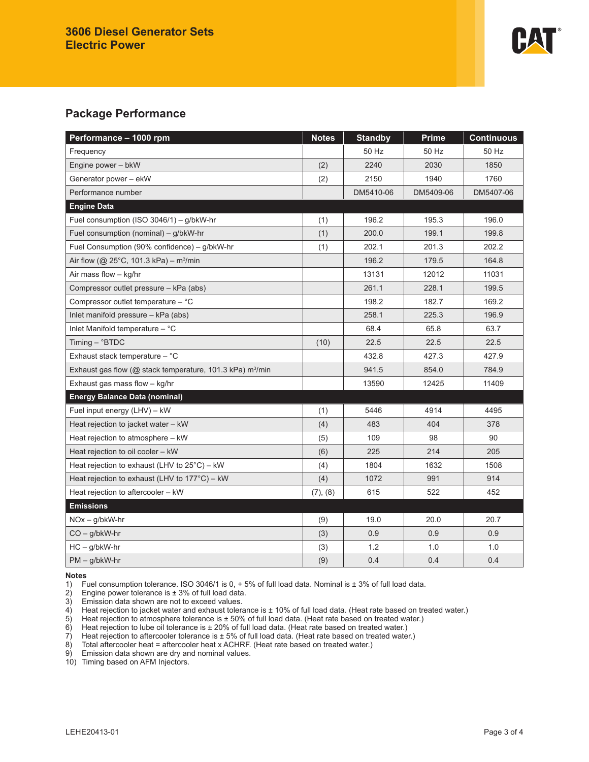

# **Package Performance**

| Performance - 1000 rpm                                                   | <b>Notes</b> | <b>Standby</b> | <b>Prime</b> | <b>Continuous</b> |
|--------------------------------------------------------------------------|--------------|----------------|--------------|-------------------|
| Frequency                                                                |              | 50 Hz          | 50 Hz        | 50 Hz             |
| Engine power - bkW                                                       | (2)          | 2240           | 2030         | 1850              |
| Generator power - ekW                                                    | (2)          | 2150           | 1940         | 1760              |
| Performance number                                                       |              | DM5410-06      | DM5409-06    | DM5407-06         |
| <b>Engine Data</b>                                                       |              |                |              |                   |
| Fuel consumption (ISO $3046/1$ ) – g/bkW-hr                              | (1)          | 196.2          | 195.3        | 196.0             |
| Fuel consumption (nominal) - g/bkW-hr                                    | (1)          | 200.0          | 199.1        | 199.8             |
| Fuel Consumption (90% confidence) - g/bkW-hr                             | (1)          | 202.1          | 201.3        | 202.2             |
| Air flow ( $@$ 25°C, 101.3 kPa) – m <sup>3</sup> /min                    |              | 196.2          | 179.5        | 164.8             |
| Air mass flow - kg/hr                                                    |              | 13131          | 12012        | 11031             |
| Compressor outlet pressure - kPa (abs)                                   |              | 261.1          | 228.1        | 199.5             |
| Compressor outlet temperature - °C                                       |              | 198.2          | 182.7        | 169.2             |
| Inlet manifold pressure - kPa (abs)                                      |              | 258.1          | 225.3        | 196.9             |
| Inlet Manifold temperature - °C                                          |              | 68.4           | 65.8         | 63.7              |
| Timing $-$ °BTDC                                                         | (10)         | 22.5           | 22.5         | 22.5              |
| Exhaust stack temperature - °C                                           |              | 432.8          | 427.3        | 427.9             |
| Exhaust gas flow ( $@$ stack temperature, 101.3 kPa) m <sup>3</sup> /min |              | 941.5          | 854.0        | 784.9             |
| Exhaust gas mass flow - kg/hr                                            |              | 13590          | 12425        | 11409             |
| <b>Energy Balance Data (nominal)</b>                                     |              |                |              |                   |
| Fuel input energy (LHV) - kW                                             | (1)          | 5446           | 4914         | 4495              |
| Heat rejection to jacket water - kW                                      | (4)          | 483            | 404          | 378               |
| Heat rejection to atmosphere - kW                                        | (5)          | 109            | 98           | 90                |
| Heat rejection to oil cooler - kW                                        | (6)          | 225            | 214          | 205               |
| Heat rejection to exhaust (LHV to $25^{\circ}$ C) – kW                   | (4)          | 1804           | 1632         | 1508              |
| Heat rejection to exhaust (LHV to $177^{\circ}$ C) – kW                  | (4)          | 1072           | 991          | 914               |
| Heat rejection to aftercooler - kW                                       | (7), (8)     | 615            | 522          | 452               |
| <b>Emissions</b>                                                         |              |                |              |                   |
| $NOx - g/bkW-hr$                                                         | (9)          | 19.0           | 20.0         | 20.7              |
| $CO - g/bkW-hr$                                                          | (3)          | 0.9            | 0.9          | 0.9               |
| $HC - g/bkW-hr$                                                          | (3)          | 1.2            | 1.0          | 1.0               |
| $PM - q/bkW-hr$                                                          | (9)          | 0.4            | 0.4          | 0.4               |

**Notes** 1) Fuel consumption tolerance. ISO 3046/1 is 0,  $+5%$  of full load data. Nominal is  $\pm 3%$  of full load data.<br>2) Engine power tolerance is  $\pm 3%$  of full load data.

2) Engine power tolerance is  $\pm 3\%$  of full load data.<br>3) Emission data shown are not to exceed values.

4) Heat rejection to jacket water and exhaust tolerance is ± 10% of full load data. (Heat rate based on treated water.)

3) Emission data shown are not to exceed values.<br>4) Heat rejection to jacket water and exhaust tolera<br>5) Heat rejection to atmosphere tolerance is ± 50% 5) Heat rejection to atmosphere tolerance is ± 50% of full load data. (Heat rate based on treated water.)<br>6) Heat rejection to lube oil tolerance is ± 20% of full load data. (Heat rate based on treated water.)

6) Heat rejection to lube oil tolerance is  $\pm$  20% of full load data. (Heat rate based on treated water.)<br>
7) Heat rejection to aftercooler tolerance is  $\pm$  5% of full load data. (Heat rate based on treated water  $7)$  Heat rejection to aftercooler tolerance is  $\pm$  5% of full load data. (Heat rate based on treated water.)<br>8) Total aftercooler heat = aftercooler heat x ACHRF. (Heat rate based on treated water.)

8) Total aftercooler heat = aftercooler heat x ACHRF. (Heat rate based on treated water.)<br>9) Emission data shown are dry and nominal values.

Emission data shown are dry and nominal values.

10) Timing based on AFM Injectors.